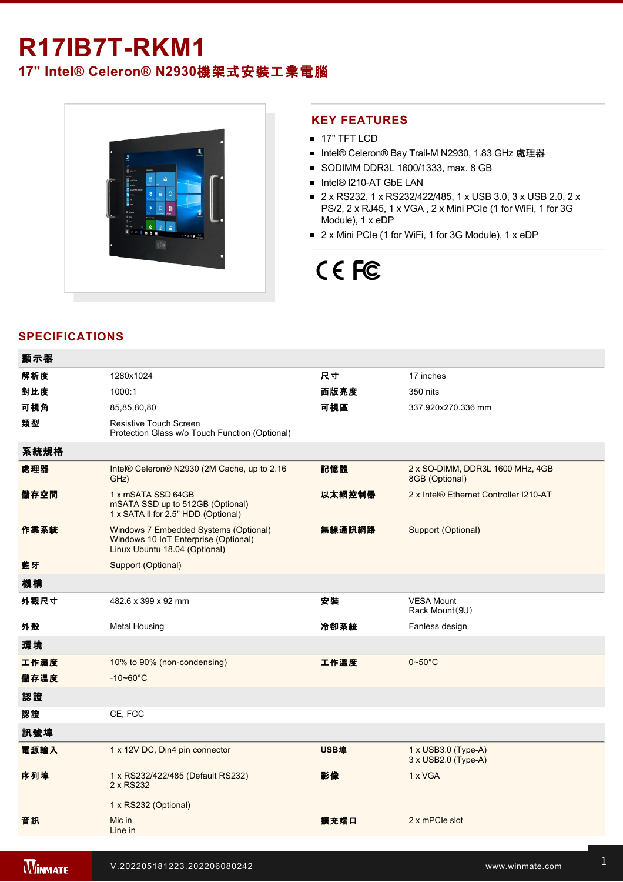# **R17IB7T-RKM1**

**17" Intel® Celeron® N2930**機架式安裝工業電腦



# **KEY FEATURES**

- **17" TFT LCD**
- Intel® Celeron® Bay Trail-M N2930, 1.83 GHz 處理器
- SODIMM DDR3L 1600/1333, max. 8 GB
- Intel® I210-AT GbE LAN
- 2 x RS232, 1 x RS232/422/485, 1 x USB 3.0, 3 x USB 2.0, 2 x PS/2, 2 x RJ45, 1 x VGA , 2 x Mini PCIe (1 for WiFi, 1 for 3G Module), 1 x eDP
- 2 x Mini PCIe (1 for WiFi, 1 for 3G Module), 1 x eDP

# CE FC

# **SPECIFICATIONS**

| 顯示器  |                                                                                                                |        |                                                                 |
|------|----------------------------------------------------------------------------------------------------------------|--------|-----------------------------------------------------------------|
| 解析度  | 1280x1024                                                                                                      | 尺寸     | 17 inches                                                       |
| 對比度  | 1000:1                                                                                                         | 面版亮度   | 350 nits                                                        |
| 可視角  | 85,85,80,80                                                                                                    | 可視區    | 337.920x270.336 mm                                              |
| 類型   | Resistive Touch Screen<br>Protection Glass w/o Touch Function (Optional)                                       |        |                                                                 |
| 系統規格 |                                                                                                                |        |                                                                 |
| 處理器  | Intel® Celeron® N2930 (2M Cache, up to 2.16<br>GHz)                                                            | 記憶體    | 2 x SO-DIMM, DDR3L 1600 MHz, 4GB<br>8GB (Optional)              |
| 儲存空間 | 1 x mSATA SSD 64GB<br>mSATA SSD up to 512GB (Optional)<br>1 x SATA II for 2.5" HDD (Optional)                  | 以太網控制器 | 2 x Intel® Ethernet Controller I210-AT                          |
| 作業系統 | Windows 7 Embedded Systems (Optional)<br>Windows 10 IoT Enterprise (Optional)<br>Linux Ubuntu 18.04 (Optional) | 無線通訊網路 | Support (Optional)                                              |
| 藍牙   | Support (Optional)                                                                                             |        |                                                                 |
| 機構   |                                                                                                                |        |                                                                 |
| 外觀尺寸 | 482.6 x 399 x 92 mm                                                                                            | 安装     | <b>VESA Mount</b><br>Rack Mount (9U)                            |
| 外殼   | <b>Metal Housing</b>                                                                                           | 冷卻系統   | Fanless design                                                  |
| 環境   |                                                                                                                |        |                                                                 |
| 工作濕度 | 10% to 90% (non-condensing)                                                                                    | 工作溫度   | $0\negthinspace\negthinspace\negthinspace 50^{\circ}\mathrm{C}$ |
| 儲存溫度 | $-10 - 60^{\circ}C$                                                                                            |        |                                                                 |
| 認證   |                                                                                                                |        |                                                                 |
| 認證   | CE, FCC                                                                                                        |        |                                                                 |
| 訊號埠  |                                                                                                                |        |                                                                 |
| 電源輸入 | 1 x 12V DC, Din4 pin connector                                                                                 | USB埠   | $1 \times$ USB3.0 (Type-A)<br>$3 \times$ USB2.0 (Type-A)        |
| 序列埠  | 1 x RS232/422/485 (Default RS232)<br>2 x RS232                                                                 | 影像     | 1 x VGA                                                         |
|      | 1 x RS232 (Optional)                                                                                           |        |                                                                 |
| 音訊   | Mic in<br>Line in                                                                                              | 擴充端口   | 2 x mPCle slot                                                  |
|      |                                                                                                                |        |                                                                 |

亮度旋鈕 1 x Brightness Adjustment Knob **PS/2**接口 2 x PS/2